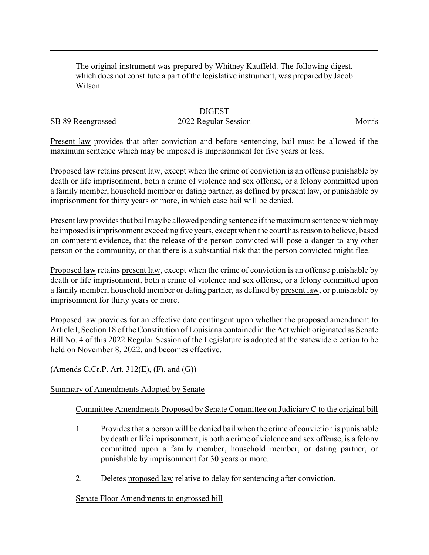The original instrument was prepared by Whitney Kauffeld. The following digest, which does not constitute a part of the legislative instrument, was prepared by Jacob Wilson.

## **DIGEST**

# SB 89 Reengrossed 2022 Regular Session Morris

Present law provides that after conviction and before sentencing, bail must be allowed if the maximum sentence which may be imposed is imprisonment for five years or less.

Proposed law retains present law, except when the crime of conviction is an offense punishable by death or life imprisonment, both a crime of violence and sex offense, or a felony committed upon a family member, household member or dating partner, as defined by present law, or punishable by imprisonment for thirty years or more, in which case bail will be denied.

Present law provides that bail maybe allowed pending sentence if the maximum sentence which may be imposed is imprisonment exceeding five years, except when the court has reason to believe, based on competent evidence, that the release of the person convicted will pose a danger to any other person or the community, or that there is a substantial risk that the person convicted might flee.

Proposed law retains present law, except when the crime of conviction is an offense punishable by death or life imprisonment, both a crime of violence and sex offense, or a felony committed upon a family member, household member or dating partner, as defined by present law, or punishable by imprisonment for thirty years or more.

Proposed law provides for an effective date contingent upon whether the proposed amendment to Article I, Section 18 of the Constitution of Louisiana contained in the Act which originated as Senate Bill No. 4 of this 2022 Regular Session of the Legislature is adopted at the statewide election to be held on November 8, 2022, and becomes effective.

(Amends C.Cr.P. Art.  $312(E)$ ,  $(F)$ , and  $(G)$ )

### Summary of Amendments Adopted by Senate

### Committee Amendments Proposed by Senate Committee on Judiciary C to the original bill

- 1. Provides that a person will be denied bail when the crime of conviction is punishable by death or life imprisonment, is both a crime of violence and sex offense, is a felony committed upon a family member, household member, or dating partner, or punishable by imprisonment for 30 years or more.
- 2. Deletes proposed law relative to delay for sentencing after conviction.

### Senate Floor Amendments to engrossed bill